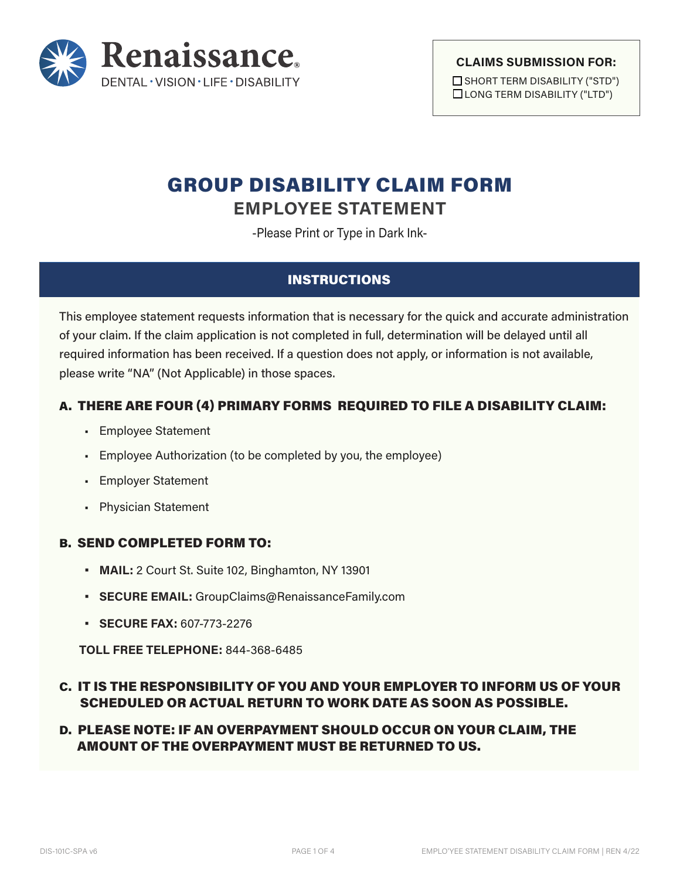

#### **CLAIMS SUBMISSION FOR:**

□ SHORT TERM DISABILITY ("STD") □ LONG TERM DISABILITY ("LTD")

# GROUP DISABILITY CLAIM FORM **EMPLOYEE STATEMENT**

-Please Print or Type in Dark Ink-

## INSTRUCTIONS

This employee statement requests information that is necessary for the quick and accurate administration of your claim. If the claim application is not completed in full, determination will be delayed until all required information has been received. If a question does not apply, or information is not available, please write "NA" (Not Applicable) in those spaces.

## A. THERE ARE FOUR (4) PRIMARY FORMS REQUIRED TO FILE A DISABILITY CLAIM:

- Employee Statement
- Employee Authorization (to be completed by you, the employee)
- Employer Statement
- Physician Statement

## B. SEND COMPLETED FORM TO:

- **• MAIL:** 2 Court St. Suite 102, Binghamton, NY 13901
- **• SECURE EMAIL:** GroupClaims@RenaissanceFamily.com
- **• SECURE FAX:** 607-773-2276

**TOLL FREE TELEPHONE:** 844-368-6485

# C. IT IS THE RESPONSIBILITY OF YOU AND YOUR EMPLOYER TO INFORM US OF YOUR SCHEDULED OR ACTUAL RETURN TO WORK DATE AS SOON AS POSSIBLE.

## D. PLEASE NOTE: IF AN OVERPAYMENT SHOULD OCCUR ON YOUR CLAIM, THE AMOUNT OF THE OVERPAYMENT MUST BE RETURNED TO US.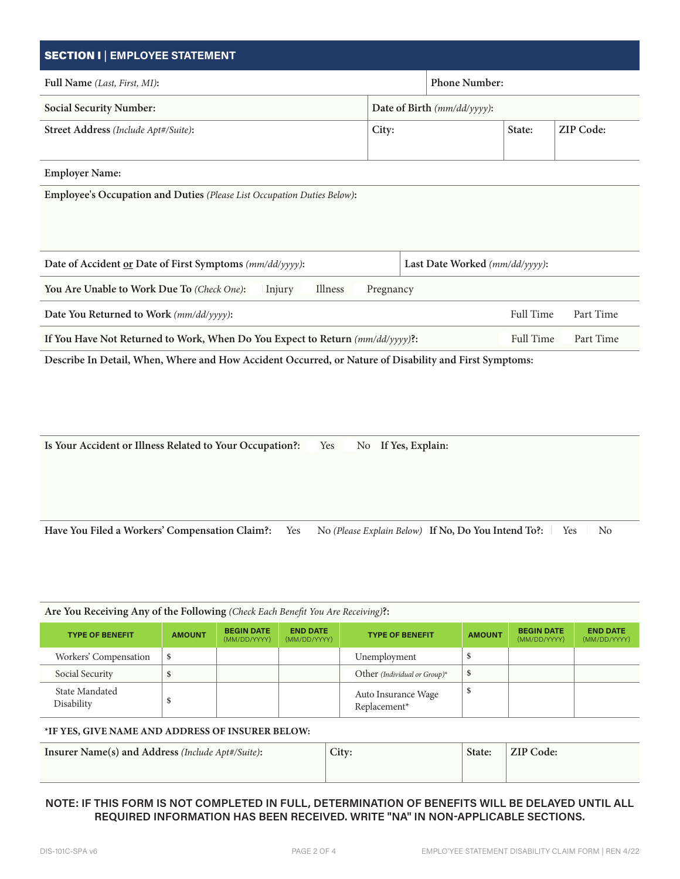| <b>SECTION I   EMPLOYEE STATEMENT</b>                                                                  |                             |                                                     |        |                               |  |  |
|--------------------------------------------------------------------------------------------------------|-----------------------------|-----------------------------------------------------|--------|-------------------------------|--|--|
| Full Name (Last, First, MI):                                                                           |                             | Phone Number:                                       |        |                               |  |  |
| <b>Social Security Number:</b>                                                                         | Date of Birth (mm/dd/yyyy): |                                                     |        |                               |  |  |
| Street Address (Include Apt#/Suite):                                                                   | City:                       |                                                     | State: | ZIP Code:                     |  |  |
| <b>Employer Name:</b>                                                                                  |                             |                                                     |        |                               |  |  |
| Employee's Occupation and Duties (Please List Occupation Duties Below):                                |                             |                                                     |        |                               |  |  |
| Date of Accident or Date of First Symptoms (mm/dd/yyyy):                                               |                             | Last Date Worked (mm/dd/yyyy):                      |        |                               |  |  |
| Illness<br>You Are Unable to Work Due To (Check One):<br>Injury                                        | Pregnancy                   |                                                     |        |                               |  |  |
| Date You Returned to Work (mm/dd/yyyy):                                                                |                             |                                                     |        | Full Time<br>Part Time        |  |  |
| If You Have Not Returned to Work, When Do You Expect to Return (mm/dd/yyyy) ?:                         |                             |                                                     |        | Part Time<br><b>Full Time</b> |  |  |
| Describe In Detail, When, Where and How Accident Occurred, or Nature of Disability and First Symptoms: |                             |                                                     |        |                               |  |  |
| Is Your Accident or Illness Related to Your Occupation?:<br>No If Yes, Explain:<br>Yes                 |                             |                                                     |        |                               |  |  |
| Have You Filed a Workers' Compensation Claim?:<br>Yes                                                  |                             | No (Please Explain Below) If No, Do You Intend To?: |        | N <sub>o</sub><br>Yes         |  |  |

| Are You Receiving Any of the Following (Check Each Benefit You Are Receiving)?: |               |                                   |                                 |                                     |               |                                   |                                 |
|---------------------------------------------------------------------------------|---------------|-----------------------------------|---------------------------------|-------------------------------------|---------------|-----------------------------------|---------------------------------|
| <b>TYPE OF BENEFIT</b>                                                          | <b>AMOUNT</b> | <b>BEGIN DATE</b><br>(MM/DD/YYYY) | <b>END DATE</b><br>(MM/DD/YYYY) | <b>TYPE OF BENEFIT</b>              | <b>AMOUNT</b> | <b>BEGIN DATE</b><br>(MM/DD/YYYY) | <b>END DATE</b><br>(MM/DD/YYYY) |
| Workers' Compensation                                                           | \$            |                                   |                                 | Unemployment                        |               |                                   |                                 |
| Social Security                                                                 |               |                                   |                                 | Other (Individual or Group)*        | \$            |                                   |                                 |
| State Mandated<br>Disability                                                    |               |                                   |                                 | Auto Insurance Wage<br>Replacement* |               |                                   |                                 |

#### **\*IF YES, GIVE NAME AND ADDRESS OF INSURER BELOW:**

| <b>Insurer Name(s) and Address (Include Apt#/Suite):</b> | City: | State: | ZIP Code: |
|----------------------------------------------------------|-------|--------|-----------|
|                                                          |       |        |           |

### **NOTE: IF THIS FORM IS NOT COMPLETED IN FULL, DETERMINATION OF BENEFITS WILL BE DELAYED UNTIL ALL REQUIRED INFORMATION HAS BEEN RECEIVED. WRITE "NA" IN NON-APPLICABLE SECTIONS.**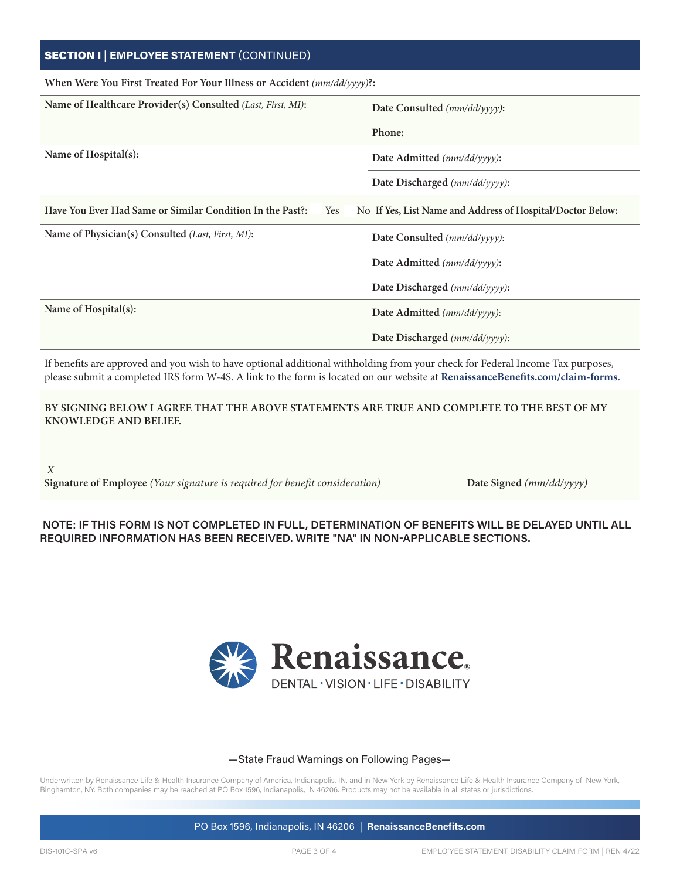### SECTION I | **EMPLOYEE STATEMENT** (CONTINUED)

| When Were You First Treated For Your Illness or Accident $(mm/dd/yyyy)$ ?: |                                                            |  |
|----------------------------------------------------------------------------|------------------------------------------------------------|--|
| Name of Healthcare Provider(s) Consulted (Last, First, MI):                | Date Consulted (mm/dd/yyyy):                               |  |
|                                                                            | Phone:                                                     |  |
| Name of Hospital(s):                                                       | Date Admitted (mm/dd/yyyy):                                |  |
|                                                                            | Date Discharged (mm/dd/yyyy):                              |  |
| Have You Ever Had Same or Similar Condition In the Past?:<br>Yes           | No If Yes, List Name and Address of Hospital/Doctor Below: |  |
| Name of Physician(s) Consulted (Last, First, MI):                          | Date Consulted (mm/dd/yyyy):                               |  |
|                                                                            | Date Admitted (mm/dd/yyyy):                                |  |
|                                                                            | Date Discharged (mm/dd/yyyy):                              |  |
| Name of Hospital(s):                                                       | Date Admitted (mm/dd/yyyy):                                |  |
|                                                                            | Date Discharged (mm/dd/yyyy):                              |  |

If benefits are approved and you wish to have optional additional withholding from your check for Federal Income Tax purposes, please submit a completed IRS form W-4S. A link to the form is located on our website at **RenaissanceBenefits.com/claim-forms.**

#### **BY SIGNING BELOW I AGREE THAT THE ABOVE STATEMENTS ARE TRUE AND COMPLETE TO THE BEST OF MY KNOWLEDGE AND BELIEF.**

**Signature of Employee** *(Your signature is required for benefit consideration)* **Date Signed** *(mm/dd/yyyy)*

#### **NOTE: IF THIS FORM IS NOT COMPLETED IN FULL, DETERMINATION OF BENEFITS WILL BE DELAYED UNTIL ALL REQUIRED INFORMATION HAS BEEN RECEIVED. WRITE "NA" IN NON-APPLICABLE SECTIONS.**



#### —State Fraud Warnings on Following Pages—

Underwritten by Renaissance Life & Health Insurance Company of America, Indianapolis, IN, and in New York by Renaissance Life & Health Insurance Company of New York, Binghamton, NY. Both companies may be reached at PO Box 1596, Indianapolis, IN 46206. Products may not be available in all states or jurisdictions.

PO Box 1596, Indianapolis, IN 46206 | **RenaissanceBenefits.com**

*X*